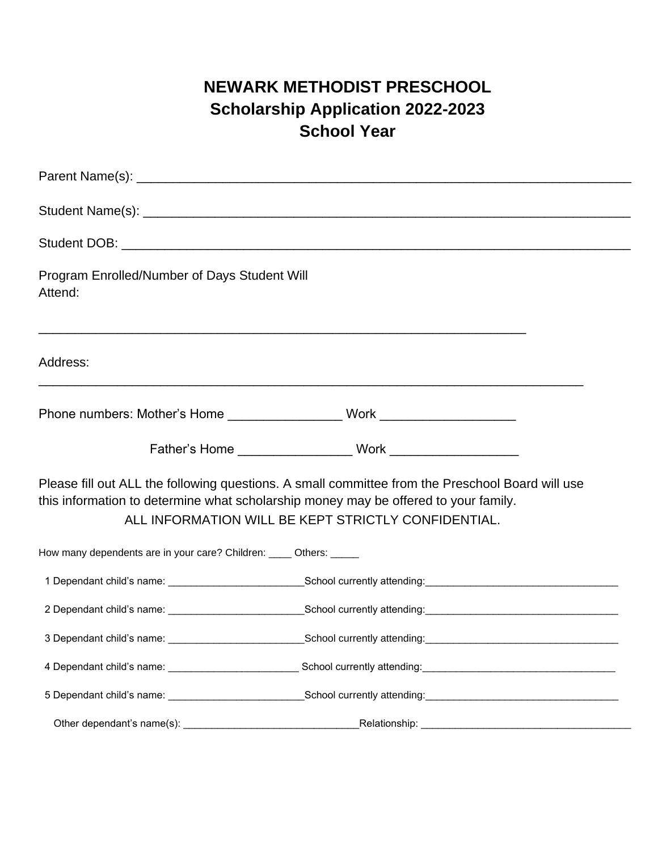## **NEWARK METHODIST PRESCHOOL Scholarship Application 2022-2023 School Year**

| Program Enrolled/Number of Days Student Will<br>Attend:            |                                                                                                                                                                                                                                                |  |  |  |  |
|--------------------------------------------------------------------|------------------------------------------------------------------------------------------------------------------------------------------------------------------------------------------------------------------------------------------------|--|--|--|--|
| Address:                                                           | ,一个人的人都是一个人的人,我们就是一个人的人,我们就是一个人的人,我们就是一个人的人,我们就是一个人的人,我们就是一个人的人,我们就是一个人的人,我们就是一个人                                                                                                                                                              |  |  |  |  |
|                                                                    |                                                                                                                                                                                                                                                |  |  |  |  |
|                                                                    |                                                                                                                                                                                                                                                |  |  |  |  |
|                                                                    | Please fill out ALL the following questions. A small committee from the Preschool Board will use<br>this information to determine what scholarship money may be offered to your family.<br>ALL INFORMATION WILL BE KEPT STRICTLY CONFIDENTIAL. |  |  |  |  |
| How many dependents are in your care? Children: ____ Others: _____ |                                                                                                                                                                                                                                                |  |  |  |  |
|                                                                    |                                                                                                                                                                                                                                                |  |  |  |  |
|                                                                    |                                                                                                                                                                                                                                                |  |  |  |  |
|                                                                    | 3 Dependant child's name: 11 \ 2000 100 \ 2000 School currently attending: 2000 \ 2000 \ 2000 \ 2000 \ 2000 \ 2000 \ 2000 \ 2000 \ 2000 \ 2000 \ 2000 \ 2000 \ 2000 \ 2000 \ 2000 \ 2000 \ 2000 \ 2000 \ 2000 \ 2000 \ 2000 \                  |  |  |  |  |
|                                                                    |                                                                                                                                                                                                                                                |  |  |  |  |
|                                                                    |                                                                                                                                                                                                                                                |  |  |  |  |
|                                                                    |                                                                                                                                                                                                                                                |  |  |  |  |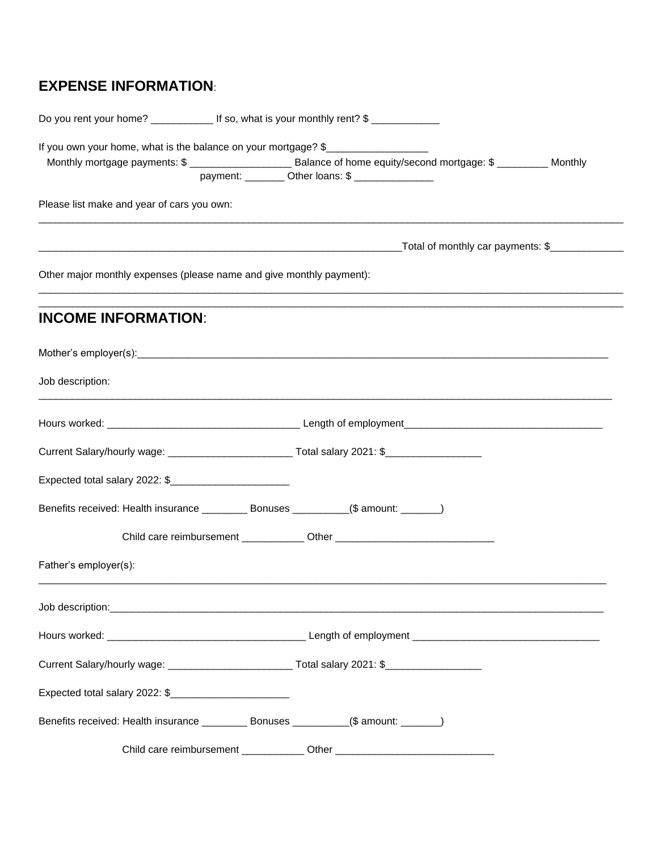## **EXPENSE INFORMATION**:

| If you own your home, what is the balance on your mortgage? \$                                        | payment: _________ Other loans: \$ _______________                               |                                                  |  |
|-------------------------------------------------------------------------------------------------------|----------------------------------------------------------------------------------|--------------------------------------------------|--|
| Please list make and year of cars you own:                                                            |                                                                                  |                                                  |  |
|                                                                                                       |                                                                                  | _Total of monthly car payments: \$______________ |  |
| Other major monthly expenses (please name and give monthly payment):                                  |                                                                                  |                                                  |  |
| <b>INCOME INFORMATION:</b>                                                                            |                                                                                  |                                                  |  |
|                                                                                                       |                                                                                  |                                                  |  |
| Job description:                                                                                      |                                                                                  |                                                  |  |
|                                                                                                       |                                                                                  |                                                  |  |
| Current Salary/hourly wage: _________________________________Total salary 2021: \$___________________ |                                                                                  |                                                  |  |
|                                                                                                       |                                                                                  |                                                  |  |
|                                                                                                       |                                                                                  |                                                  |  |
|                                                                                                       | Child care reimbursement _____________ Other ___________________________________ |                                                  |  |
| Father's employer(s):                                                                                 |                                                                                  |                                                  |  |
|                                                                                                       |                                                                                  |                                                  |  |
|                                                                                                       |                                                                                  |                                                  |  |
| Current Salary/hourly wage: ______________________________Total salary 2021: \$_____________________  |                                                                                  |                                                  |  |
| Expected total salary 2022: \$                                                                        |                                                                                  |                                                  |  |
|                                                                                                       |                                                                                  |                                                  |  |
|                                                                                                       | Child care reimbursement _____________ Other ___________________________________ |                                                  |  |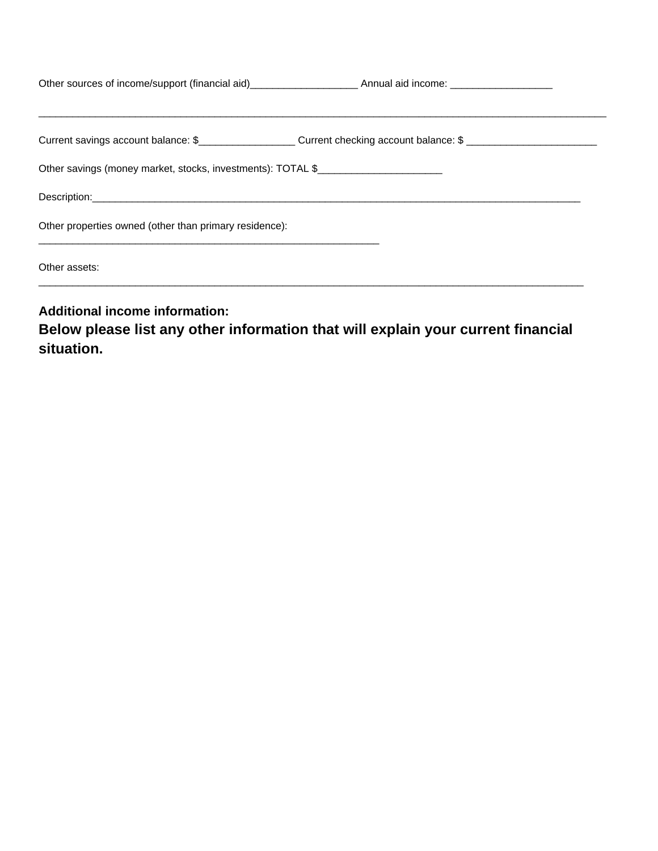|                                                             | Current savings account balance: \$______________________Current checking account balance: \$ __________________ |  |
|-------------------------------------------------------------|------------------------------------------------------------------------------------------------------------------|--|
| Other savings (money market, stocks, investments): TOTAL \$ |                                                                                                                  |  |
|                                                             |                                                                                                                  |  |
| Other properties owned (other than primary residence):      |                                                                                                                  |  |
| Other assets:                                               |                                                                                                                  |  |
|                                                             |                                                                                                                  |  |

**Additional income information:** 

**Below please list any other information that will explain your current financial situation.**